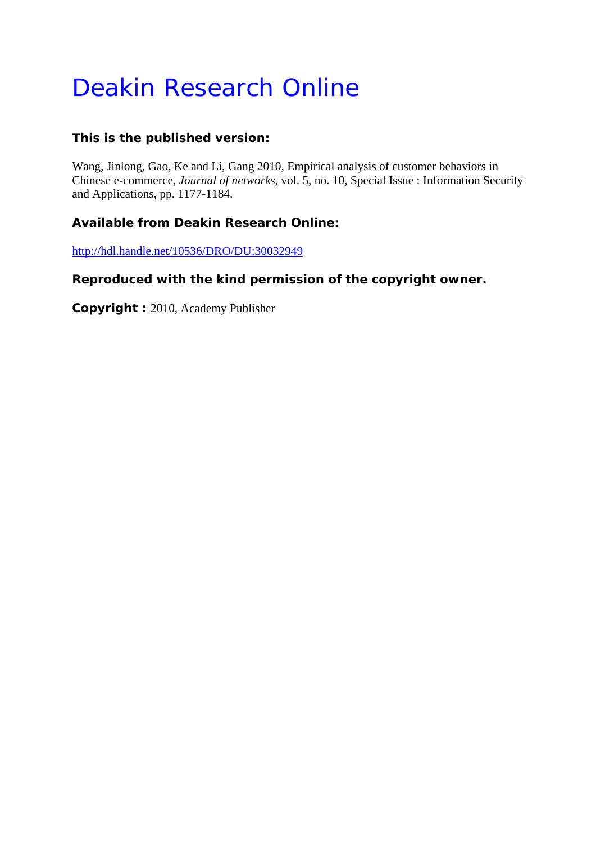# Deakin Research Online

# **This is the published version:**

Wang, Jinlong, Gao, Ke and Li, Gang 2010, Empirical analysis of customer behaviors in Chinese e-commerce*, Journal of networks*, vol. 5, no. 10, Special Issue : Information Security and Applications, pp. 1177-1184.

# **Available from Deakin Research Online:**

http://hdl.handle.net/10536/DRO/DU:30032949

## **Reproduced with the kind permission of the copyright owner.**

**Copyright :** 2010, Academy Publisher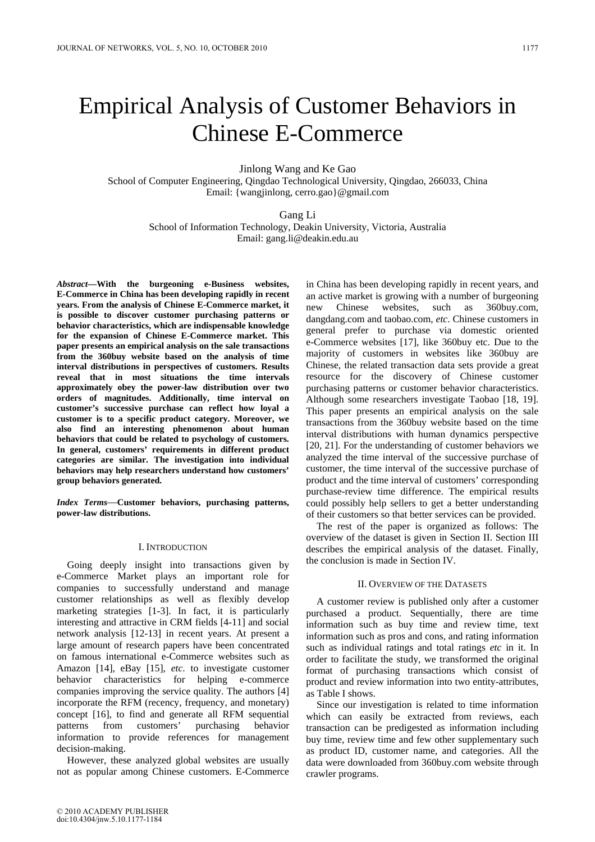Jinlong Wang and Ke Gao

School of Computer Engineering, Qingdao Technological University, Qingdao, 266033, China Email: {wangjinlong, cerro.gao}@gmail.com

> Gang Li School of Information Technology, Deakin University, Victoria, Australia Email: gang.li@deakin.edu.au

*Abstract***—With the burgeoning e-Business websites, E-Commerce in China has been developing rapidly in recent years. From the analysis of Chinese E-Commerce market, it is possible to discover customer purchasing patterns or behavior characteristics, which are indispensable knowledge for the expansion of Chinese E-Commerce market. This paper presents an empirical analysis on the sale transactions from the 360buy website based on the analysis of time interval distributions in perspectives of customers. Results reveal that in most situations the time intervals approximately obey the power-law distribution over two orders of magnitudes. Additionally, time interval on customer's successive purchase can reflect how loyal a customer is to a specific product category. Moreover, we also find an interesting phenomenon about human behaviors that could be related to psychology of customers. In general, customers' requirements in different product categories are similar. The investigation into individual behaviors may help researchers understand how customers' group behaviors generated.** 

*Index Terms*—**Customer behaviors, purchasing patterns, power-law distributions.** 

#### I. INTRODUCTION

Going deeply insight into transactions given by e-Commerce Market plays an important role for companies to successfully understand and manage customer relationships as well as flexibly develop marketing strategies [1-3]. In fact, it is particularly interesting and attractive in CRM fields [4-11] and social network analysis [12-13] in recent years. At present a large amount of research papers have been concentrated on famous international e-Commerce websites such as Amazon [14], eBay [15], *etc*. to investigate customer behavior characteristics for helping e-commerce companies improving the service quality. The authors [4] incorporate the RFM (recency, frequency, and monetary) concept [16], to find and generate all RFM sequential patterns from customers' purchasing behavior information to provide references for management decision-making.

However, these analyzed global websites are usually not as popular among Chinese customers. E-Commerce in China has been developing rapidly in recent years, and an active market is growing with a number of burgeoning new Chinese websites, such as 360buy.com, dangdang.com and taobao.com, *etc*. Chinese customers in general prefer to purchase via domestic oriented e-Commerce websites [17], like 360buy etc. Due to the majority of customers in websites like 360buy are Chinese, the related transaction data sets provide a great resource for the discovery of Chinese customer purchasing patterns or customer behavior characteristics. Although some researchers investigate Taobao [18, 19]. This paper presents an empirical analysis on the sale transactions from the 360buy website based on the time interval distributions with human dynamics perspective [20, 21]. For the understanding of customer behaviors we analyzed the time interval of the successive purchase of customer, the time interval of the successive purchase of product and the time interval of customers' corresponding purchase-review time difference. The empirical results could possibly help sellers to get a better understanding of their customers so that better services can be provided.

The rest of the paper is organized as follows: The overview of the dataset is given in Section II. Section III describes the empirical analysis of the dataset. Finally, the conclusion is made in Section IV.

## II. OVERVIEW OF THE DATASETS

A customer review is published only after a customer purchased a product. Sequentially, there are time information such as buy time and review time, text information such as pros and cons, and rating information such as individual ratings and total ratings *etc* in it. In order to facilitate the study, we transformed the original format of purchasing transactions which consist of product and review information into two entity-attributes, as Table I shows.

Since our investigation is related to time information which can easily be extracted from reviews, each transaction can be predigested as information including buy time, review time and few other supplementary such as product ID, customer name, and categories. All the data were downloaded from 360buy.com website through crawler programs.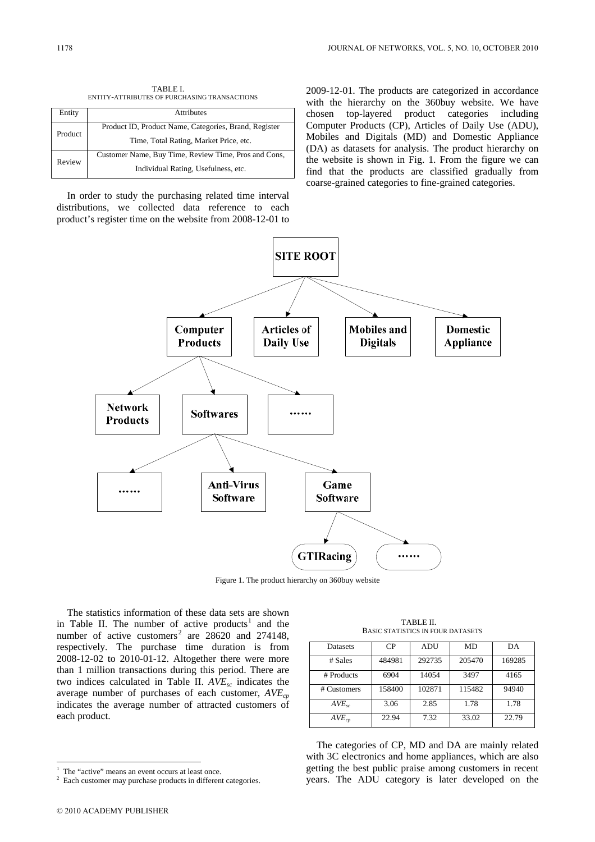TABLE I. ENTITY-ATTRIBUTES OF PURCHASING TRANSACTIONS

| Entity  | <b>Attributes</b>                                                                               |
|---------|-------------------------------------------------------------------------------------------------|
| Product | Product ID, Product Name, Categories, Brand, Register<br>Time, Total Rating, Market Price, etc. |
| Review  | Customer Name, Buy Time, Review Time, Pros and Cons,<br>Individual Rating, Usefulness, etc.     |

In order to study the purchasing related time interval distributions, we collected data reference to each product's register time on the website from 2008-12-01 to 2009-12-01. The products are categorized in accordance with the hierarchy on the 360buy website. We have chosen top-layered product categories including Computer Products (CP), Articles of Daily Use (ADU), Mobiles and Digitals (MD) and Domestic Appliance (DA) as datasets for analysis. The product hierarchy on the website is shown in Fig. 1. From the figure we can find that the products are classified gradually from coarse-grained categories to fine-grained categories.



Figure 1. The product hierarchy on 360buy website

The statistics information of these data sets are shown in Table II. The number of active products<sup>1</sup> and the number of active customers<sup>2</sup> are  $28620$  and  $274148$ , respectively. The purchase time duration is from 2008-12-02 to 2010-01-12. Altogether there were more than 1 million transactions during this period. There are two indices calculated in Table II. *AVEsc* indicates the average number of purchases of each customer,  $AVE_{cp}$ indicates the average number of attracted customers of each product.

TABLE II. BASIC STATISTICS IN FOUR DATASETS

| <b>Datasets</b>   | CP     | ADU    | <b>MD</b> | DA     |
|-------------------|--------|--------|-----------|--------|
| # Sales           | 484981 | 292735 | 205470    | 169285 |
| # Products        | 6904   | 14054  | 3497      | 4165   |
| # Customers       | 158400 | 102871 | 115482    | 94940  |
| AVE <sub>sc</sub> | 3.06   | 2.85   | 1.78      | 1.78   |
| $AVE_{cn}$        | 22.94  | 7.32   | 33.02     | 22.79  |

The categories of CP, MD and DA are mainly related with 3C electronics and home appliances, which are also getting the best public praise among customers in recent years. The ADU category is later developed on the

 $\overline{a}$ 

<sup>1</sup> The "active" means an event occurs at least once.

Each customer may purchase products in different categories.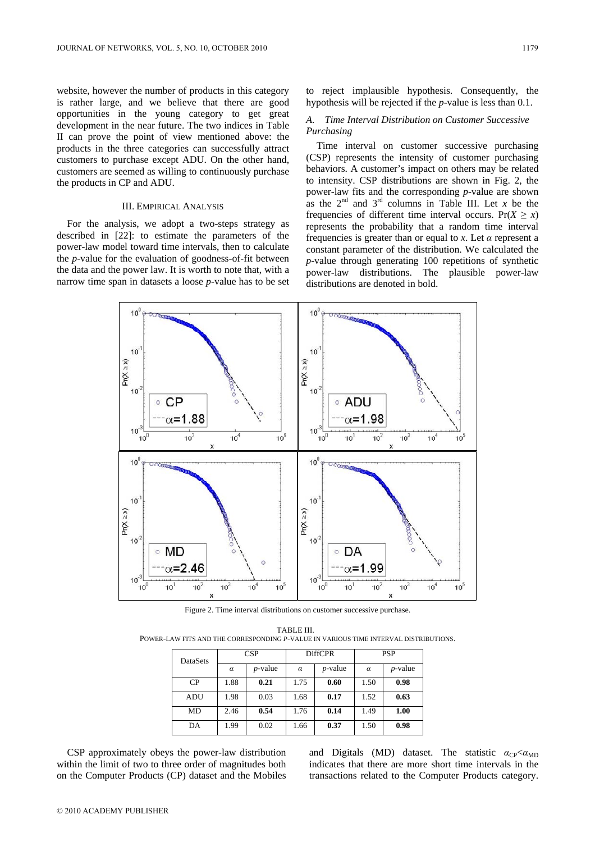website, however the number of products in this category is rather large, and we believe that there are good opportunities in the young category to get great development in the near future. The two indices in Table II can prove the point of view mentioned above: the products in the three categories can successfully attract customers to purchase except ADU. On the other hand, customers are seemed as willing to continuously purchase the products in CP and ADU.

#### III. EMPIRICAL ANALYSIS

For the analysis, we adopt a two-steps strategy as described in [22]: to estimate the parameters of the power-law model toward time intervals, then to calculate the *p*-value for the evaluation of goodness-of-fit between the data and the power law. It is worth to note that, with a narrow time span in datasets a loose *p*-value has to be set to reject implausible hypothesis. Consequently, the hypothesis will be rejected if the *p*-value is less than 0.1.

#### *A. Time Interval Distribution on Customer Successive Purchasing*

Time interval on customer successive purchasing (CSP) represents the intensity of customer purchasing behaviors. A customer's impact on others may be related to intensity. CSP distributions are shown in Fig. 2, the power-law fits and the corresponding *p*-value are shown as the  $2^{nd}$  and  $3^{rd}$  columns in Table III. Let *x* be the frequencies of different time interval occurs.  $Pr(X \ge x)$ represents the probability that a random time interval frequencies is greater than or equal to *x*. Let *α* represent a constant parameter of the distribution. We calculated the *p*-value through generating 100 repetitions of synthetic power-law distributions. The plausible power-law distributions are denoted in bold.



Figure 2. Time interval distributions on customer successive purchase.

TABLE III. POWER-LAW FITS AND THE CORRESPONDING *P*-VALUE IN VARIOUS TIME INTERVAL DISTRIBUTIONS.

| DataSets | CSP      |            | <b>DiffCPR</b> |            | <b>PSP</b> |            |
|----------|----------|------------|----------------|------------|------------|------------|
|          | $\alpha$ | $p$ -value | $\alpha$       | $p$ -value | $\alpha$   | $p$ -value |
| CP       | 1.88     | 0.21       | 1.75           | 0.60       | 1.50       | 0.98       |
| ADU      | 1.98     | 0.03       | 1.68           | 0.17       | 1.52       | 0.63       |
| MD       | 2.46     | 0.54       | 1.76           | 0.14       | 1.49       | 1.00       |
| DA       | 1.99     | 0.02       | 1.66           | 0.37       | 1.50       | 0.98       |

CSP approximately obeys the power-law distribution within the limit of two to three order of magnitudes both on the Computer Products (CP) dataset and the Mobiles and Digitals (MD) dataset. The statistic  $a_{CP} < a_{MD}$ indicates that there are more short time intervals in the transactions related to the Computer Products category.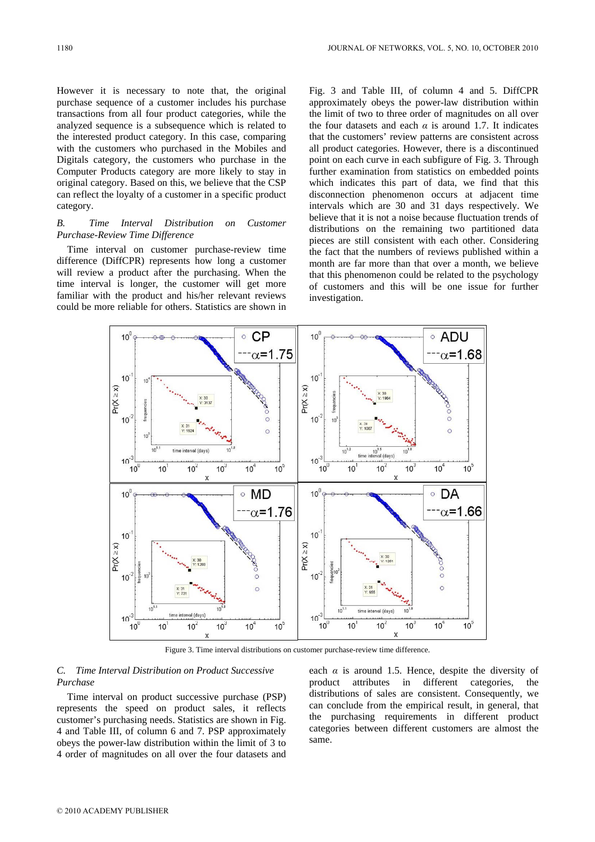However it is necessary to note that, the original purchase sequence of a customer includes his purchase transactions from all four product categories, while the analyzed sequence is a subsequence which is related to the interested product category. In this case, comparing with the customers who purchased in the Mobiles and Digitals category, the customers who purchase in the Computer Products category are more likely to stay in original category. Based on this, we believe that the CSP can reflect the loyalty of a customer in a specific product category.

## *B. Time Interval Distribution on Customer Purchase-Review Time Difference*

Time interval on customer purchase-review time difference (DiffCPR) represents how long a customer will review a product after the purchasing. When the time interval is longer, the customer will get more familiar with the product and his/her relevant reviews could be more reliable for others. Statistics are shown in Fig. 3 and Table III, of column 4 and 5. DiffCPR approximately obeys the power-law distribution within the limit of two to three order of magnitudes on all over the four datasets and each  $\alpha$  is around 1.7. It indicates that the customers' review patterns are consistent across all product categories. However, there is a discontinued point on each curve in each subfigure of Fig. 3. Through further examination from statistics on embedded points which indicates this part of data, we find that this disconnection phenomenon occurs at adjacent time intervals which are 30 and 31 days respectively. We believe that it is not a noise because fluctuation trends of distributions on the remaining two partitioned data pieces are still consistent with each other. Considering the fact that the numbers of reviews published within a month are far more than that over a month, we believe that this phenomenon could be related to the psychology of customers and this will be one issue for further investigation.

![](_page_4_Figure_5.jpeg)

Figure 3. Time interval distributions on customer purchase-review time difference.

### *C. Time Interval Distribution on Product Successive Purchase*

Time interval on product successive purchase (PSP) represents the speed on product sales, it reflects customer's purchasing needs. Statistics are shown in Fig. 4 and Table III, of column 6 and 7. PSP approximately obeys the power-law distribution within the limit of 3 to 4 order of magnitudes on all over the four datasets and each  $\alpha$  is around 1.5. Hence, despite the diversity of product attributes in different categories, the distributions of sales are consistent. Consequently, we can conclude from the empirical result, in general, that the purchasing requirements in different product categories between different customers are almost the same.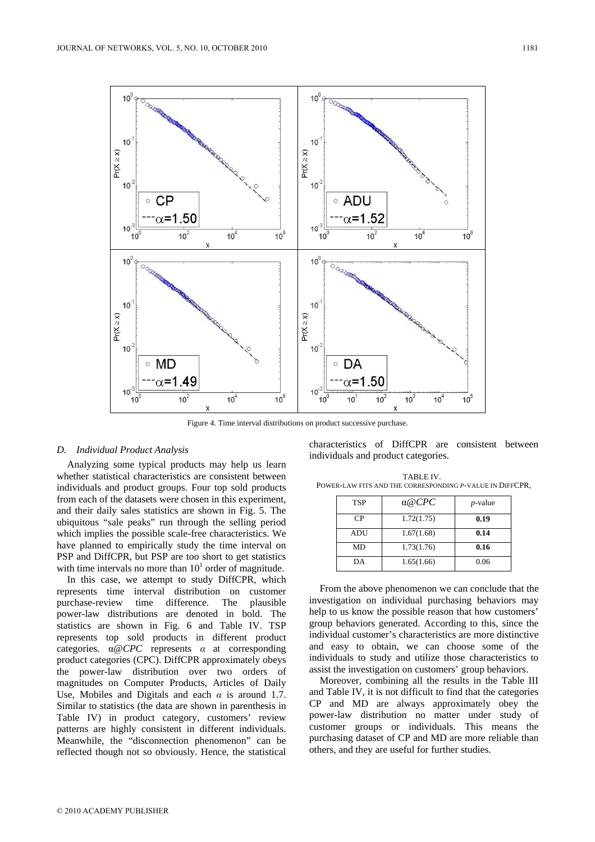![](_page_5_Figure_2.jpeg)

Figure 4. Time interval distributions on product successive purchase.

#### *D. Individual Product Analysis*

Analyzing some typical products may help us learn whether statistical characteristics are consistent between individuals and product groups. Four top sold products from each of the datasets were chosen in this experiment, and their daily sales statistics are shown in Fig. 5. The ubiquitous "sale peaks" run through the selling period which implies the possible scale-free characteristics. We have planned to empirically study the time interval on PSP and DiffCPR, but PSP are too short to get statistics with time intervals no more than  $10<sup>1</sup>$  order of magnitude.

In this case, we attempt to study DiffCPR, which represents time interval distribution on customer purchase-review time difference. The plausible power-law distributions are denoted in bold. The statistics are shown in Fig. 6 and Table IV. TSP represents top sold products in different product categories. α@*CPC* represents *α* at corresponding product categories (CPC). DiffCPR approximately obeys the power-law distribution over two orders of magnitudes on Computer Products, Articles of Daily Use, Mobiles and Digitals and each *α* is around 1.7. Similar to statistics (the data are shown in parenthesis in Table IV) in product category, customers' review patterns are highly consistent in different individuals. Meanwhile, the "disconnection phenomenon" can be reflected though not so obviously. Hence, the statistical

characteristics of DiffCPR are consistent between individuals and product categories.

TABLE IV. POWER-LAW FITS AND THE CORRESPONDING *P*-VALUE IN DIFFCPR,

| <b>TSP</b> | $\alpha$ @CPC | $p$ -value |
|------------|---------------|------------|
| CP         | 1.72(1.75)    | 0.19       |
| ADU        | 1.67(1.68)    | 0.14       |
| MD         | 1.73(1.76)    | 0.16       |
| DА         | 1.65(1.66)    | 0.06       |

From the above phenomenon we can conclude that the investigation on individual purchasing behaviors may help to us know the possible reason that how customers' group behaviors generated. According to this, since the individual customer's characteristics are more distinctive and easy to obtain, we can choose some of the individuals to study and utilize those characteristics to assist the investigation on customers' group behaviors.

Moreover, combining all the results in the Table III and Table IV, it is not difficult to find that the categories CP and MD are always approximately obey the power-law distribution no matter under study of customer groups or individuals. This means the purchasing dataset of CP and MD are more reliable than others, and they are useful for further studies.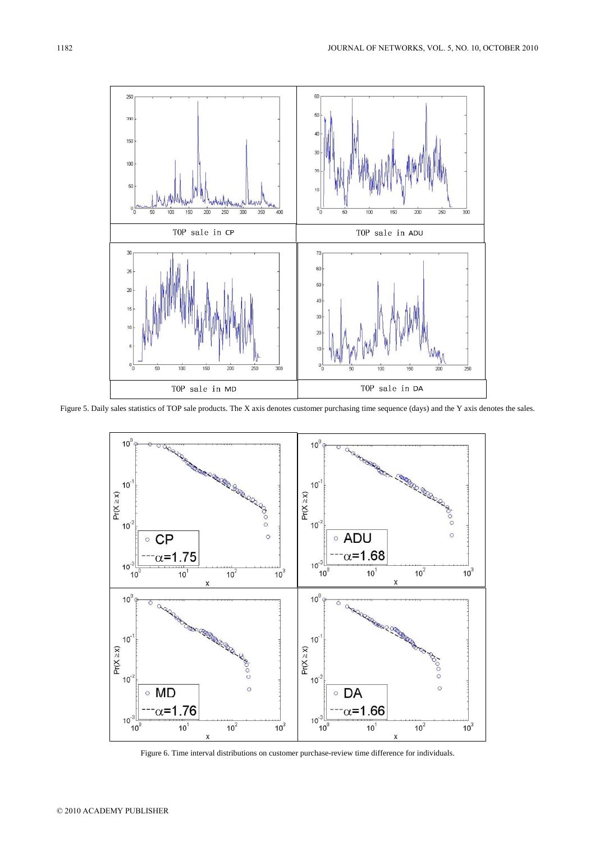![](_page_6_Figure_1.jpeg)

Figure 5. Daily sales statistics of TOP sale products. The X axis denotes customer purchasing time sequence (days) and the Y axis denotes the sales.

![](_page_6_Figure_3.jpeg)

Figure 6. Time interval distributions on customer purchase-review time difference for individuals.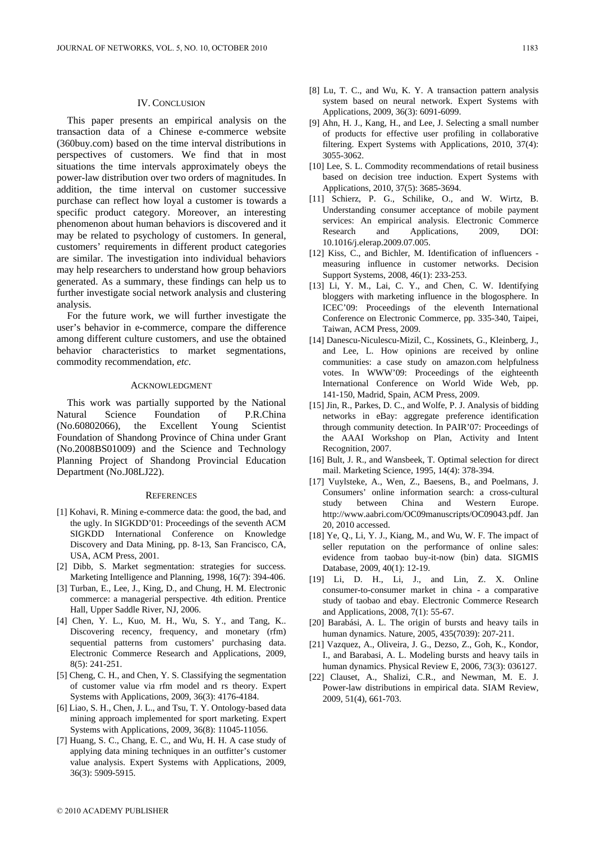#### IV. CONCLUSION

This paper presents an empirical analysis on the transaction data of a Chinese e-commerce website (360buy.com) based on the time interval distributions in perspectives of customers. We find that in most situations the time intervals approximately obeys the power-law distribution over two orders of magnitudes. In addition, the time interval on customer successive purchase can reflect how loyal a customer is towards a specific product category. Moreover, an interesting phenomenon about human behaviors is discovered and it may be related to psychology of customers. In general, customers' requirements in different product categories are similar. The investigation into individual behaviors may help researchers to understand how group behaviors generated. As a summary, these findings can help us to further investigate social network analysis and clustering analysis.

For the future work, we will further investigate the user's behavior in e-commerce, compare the difference among different culture customers, and use the obtained behavior characteristics to market segmentations, commodity recommendation, *etc*.

#### ACKNOWLEDGMENT

This work was partially supported by the National Natural Science Foundation of P.R.China (No.60802066), the Excellent Young Scientist Foundation of Shandong Province of China under Grant (No.2008BS01009) and the Science and Technology Planning Project of Shandong Provincial Education Department (No.J08LJ22).

#### **REFERENCES**

- [1] Kohavi, R. Mining e-commerce data: the good, the bad, and the ugly. In SIGKDD'01: Proceedings of the seventh ACM SIGKDD International Conference on Knowledge Discovery and Data Mining, pp. 8-13, San Francisco, CA, USA, ACM Press, 2001.
- [2] Dibb, S. Market segmentation: strategies for success. Marketing Intelligence and Planning, 1998, 16(7): 394-406.
- [3] Turban, E., Lee, J., King, D., and Chung, H. M. Electronic commerce: a managerial perspective. 4th edition. Prentice Hall, Upper Saddle River, NJ, 2006.
- [4] Chen, Y. L., Kuo, M. H., Wu, S. Y., and Tang, K.. Discovering recency, frequency, and monetary (rfm) sequential patterns from customers' purchasing data. Electronic Commerce Research and Applications, 2009, 8(5): 241-251.
- [5] Cheng, C. H., and Chen, Y. S. Classifying the segmentation of customer value via rfm model and rs theory. Expert Systems with Applications, 2009, 36(3): 4176-4184.
- [6] Liao, S. H., Chen, J. L., and Tsu, T. Y. Ontology-based data mining approach implemented for sport marketing. Expert Systems with Applications, 2009, 36(8): 11045-11056.
- [7] Huang, S. C., Chang, E. C., and Wu, H. H. A case study of applying data mining techniques in an outfitter's customer value analysis. Expert Systems with Applications, 2009, 36(3): 5909-5915.
- [8] Lu, T. C., and Wu, K. Y. A transaction pattern analysis system based on neural network. Expert Systems with Applications, 2009, 36(3): 6091-6099.
- [9] Ahn, H. J., Kang, H., and Lee, J. Selecting a small number of products for effective user profiling in collaborative filtering. Expert Systems with Applications, 2010, 37(4): 3055-3062.
- [10] Lee, S. L. Commodity recommendations of retail business based on decision tree induction. Expert Systems with Applications, 2010, 37(5): 3685-3694.
- [11] Schierz, P. G., Schilike, O., and W. Wirtz, B. Understanding consumer acceptance of mobile payment services: An empirical analysis. Electronic Commerce Research and Applications, 2009, DOI: 10.1016/j.elerap.2009.07.005.
- [12] Kiss, C., and Bichler, M. Identification of influencers measuring influence in customer networks. Decision Support Systems, 2008, 46(1): 233-253.
- [13] Li, Y. M., Lai, C. Y., and Chen, C. W. Identifying bloggers with marketing influence in the blogosphere. In ICEC'09: Proceedings of the eleventh International Conference on Electronic Commerce, pp. 335-340, Taipei, Taiwan, ACM Press, 2009.
- [14] Danescu-Niculescu-Mizil, C., Kossinets, G., Kleinberg, J., and Lee, L. How opinions are received by online communities: a case study on amazon.com helpfulness votes. In WWW'09: Proceedings of the eighteenth International Conference on World Wide Web, pp. 141-150, Madrid, Spain, ACM Press, 2009.
- [15] Jin, R., Parkes, D. C., and Wolfe, P. J. Analysis of bidding networks in eBay: aggregate preference identification through community detection. In PAIR'07: Proceedings of the AAAI Workshop on Plan, Activity and Intent Recognition, 2007.
- [16] Bult, J. R., and Wansbeek, T. Optimal selection for direct mail. Marketing Science, 1995, 14(4): 378-394.
- [17] Vuylsteke, A., Wen, Z., Baesens, B., and Poelmans, J. Consumers' online information search: a cross-cultural study between China and Western Europe. http://www.aabri.com/OC09manuscripts/OC09043.pdf. Jan 20, 2010 accessed.
- [18] Ye, Q., Li, Y. J., Kiang, M., and Wu, W. F. The impact of seller reputation on the performance of online sales: evidence from taobao buy-it-now (bin) data. SIGMIS Database, 2009, 40(1): 12-19.
- [19] Li, D. H., Li, J., and Lin, Z. X. Online consumer-to-consumer market in china - a comparative study of taobao and ebay. Electronic Commerce Research and Applications, 2008, 7(1): 55-67.
- [20] Barabási, A. L. The origin of bursts and heavy tails in human dynamics. Nature, 2005, 435(7039): 207-211.
- [21] Vazquez, A., Oliveira, J. G., Dezso, Z., Goh, K., Kondor, I., and Barabasi, A. L. Modeling bursts and heavy tails in human dynamics. Physical Review E, 2006, 73(3): 036127.
- [22] Clauset, A., Shalizi, C.R., and Newman, M. E. J. Power-law distributions in empirical data. SIAM Review, 2009, 51(4), 661-703.